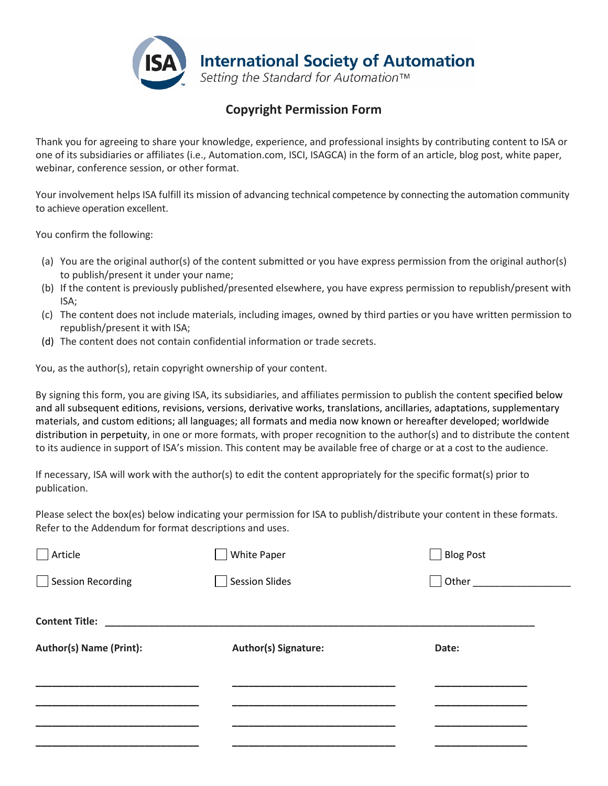

## **Copyright Permission Form**

Thank you for agreeing to share your knowledge, experience, and professional insights by contributing content to ISA or one of its subsidiaries or affiliates (i.e., Automation.com, ISCI, ISAGCA) in the form of an article, blog post, white paper, webinar, conference session, or other format.

Your involvement helps ISA fulfill its mission of advancing technical competence by connecting the automation community to achieve operation excellent.

You confirm the following:

- (a) You are the original author(s) of the content submitted or you have express permission from the original author(s) to publish/present it under your name;
- (b) If the content is previously published/presented elsewhere, you have express permission to republish/present with ISA;
- (c) The content does not include materials, including images, owned by third parties or you have written permission to republish/present it with ISA;
- (d) The content does not contain confidential information or trade secrets.

You, as the author(s), retain copyright ownership of your content.

By signing this form, you are giving ISA, its subsidiaries, and affiliates permission to publish the content specified below and all subsequent editions, revisions, versions, derivative works, translations, ancillaries, adaptations, supplementary materials, and custom editions; all languages; all formats and media now known or hereafter developed; worldwide distribution in perpetuity, in one or more formats, with proper recognition to the author(s) and to distribute the content to its audience in support of ISA's mission. This content may be available free of charge or at a cost to the audience.

If necessary, ISA will work with the author(s) to edit the content appropriately for the specific format(s) prior to publication.

Please select the box(es) below indicating your permission for ISA to publish/distribute your content in these formats. Refer to the Addendum for format descriptions and uses.

| Article                        | White Paper          | <b>Blog Post</b>    |  |
|--------------------------------|----------------------|---------------------|--|
| Session Recording              | Session Slides       | Other _____________ |  |
|                                |                      |                     |  |
| Content Title: New York 1988   |                      |                     |  |
| <b>Author(s) Name (Print):</b> | Author(s) Signature: | Date:               |  |
|                                |                      |                     |  |
|                                |                      |                     |  |
|                                |                      |                     |  |
|                                |                      |                     |  |